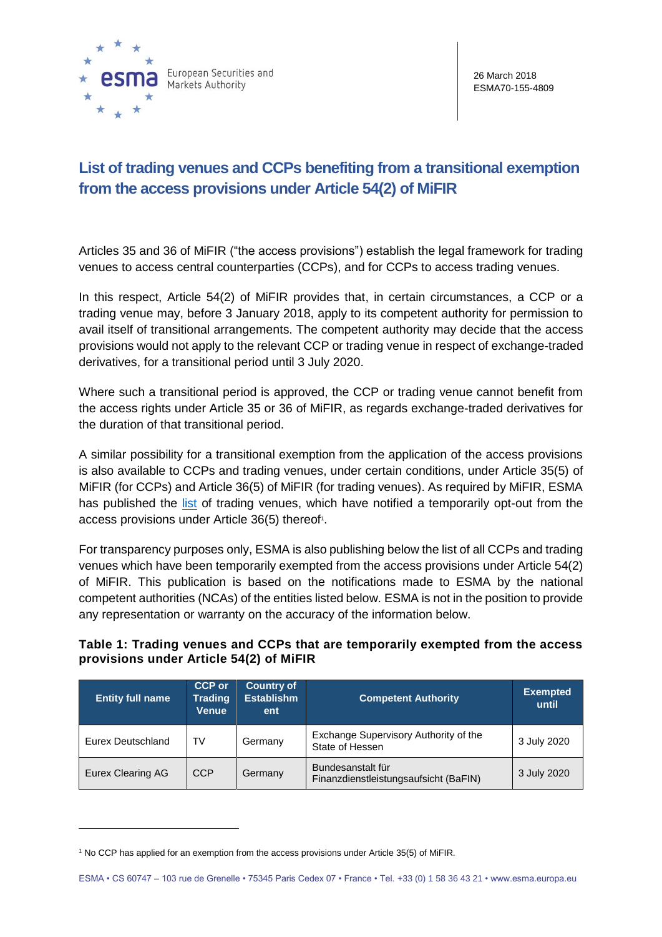

## **List of trading venues and CCPs benefiting from a transitional exemption from the access provisions under Article 54(2) of MiFIR**

Articles 35 and 36 of MiFIR ("the access provisions") establish the legal framework for trading venues to access central counterparties (CCPs), and for CCPs to access trading venues.

In this respect, Article 54(2) of MiFIR provides that, in certain circumstances, a CCP or a trading venue may, before 3 January 2018, apply to its competent authority for permission to avail itself of transitional arrangements. The competent authority may decide that the access provisions would not apply to the relevant CCP or trading venue in respect of exchange-traded derivatives, for a transitional period until 3 July 2020.

Where such a transitional period is approved, the CCP or trading venue cannot benefit from the access rights under Article 35 or 36 of MiFIR, as regards exchange-traded derivatives for the duration of that transitional period.

A similar possibility for a transitional exemption from the application of the access provisions is also available to CCPs and trading venues, under certain conditions, under Article 35(5) of MiFIR (for CCPs) and Article 36(5) of MiFIR (for trading venues). As required by MiFIR, ESMA has published the [list](https://www.esma.europa.eu/sites/default/files/library/list_of_access_exemptions.pdf) of trading venues, which have notified a temporarily opt-out from the access provisions under Article 36(5) thereof<sup>1</sup>.

For transparency purposes only, ESMA is also publishing below the list of all CCPs and trading venues which have been temporarily exempted from the access provisions under Article 54(2) of MiFIR. This publication is based on the notifications made to ESMA by the national competent authorities (NCAs) of the entities listed below. ESMA is not in the position to provide any representation or warranty on the accuracy of the information below.

## **Table 1: Trading venues and CCPs that are temporarily exempted from the access provisions under Article 54(2) of MiFIR**

| <b>Entity full name</b> | <b>CCP or</b><br><b>Trading</b><br><b>Venue</b> | <b>Country of</b><br><b>Establishm</b><br>ent | <b>Competent Authority</b>                                 | <b>Exempted</b><br>until |
|-------------------------|-------------------------------------------------|-----------------------------------------------|------------------------------------------------------------|--------------------------|
| Eurex Deutschland       | TV                                              | Germany                                       | Exchange Supervisory Authority of the<br>State of Hessen   | 3 July 2020              |
| Eurex Clearing AG       | <b>CCP</b>                                      | Germany                                       | Bundesanstalt für<br>Finanzdienstleistungsaufsicht (BaFIN) | 3 July 2020              |

<sup>1</sup> No CCP has applied for an exemption from the access provisions under Article 35(5) of MiFIR.